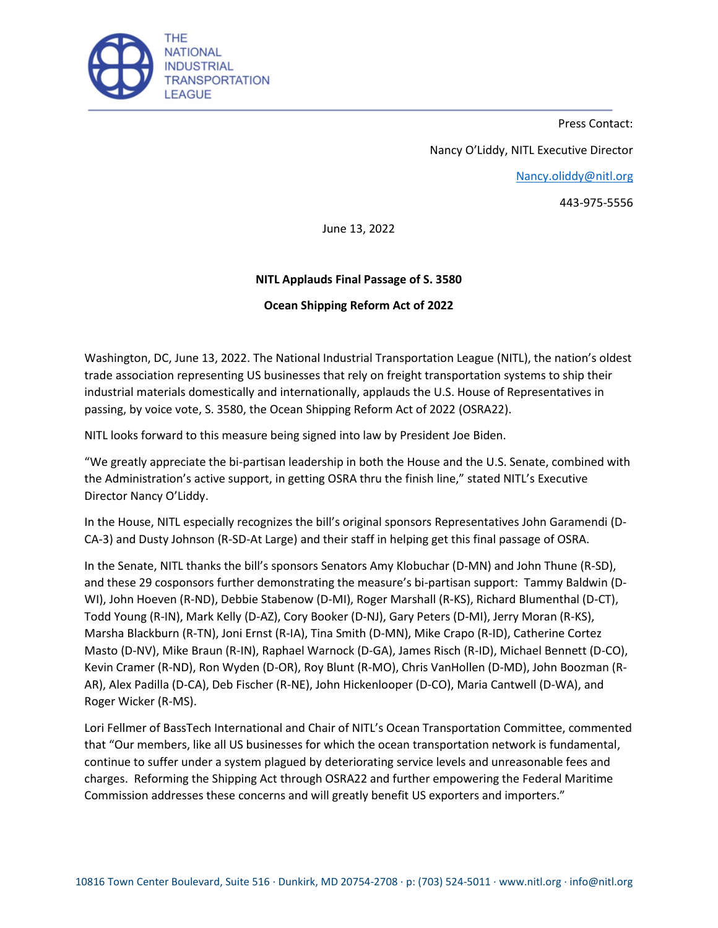

Press Contact:

Nancy O'Liddy, NITL Executive Director

[Nancy.oliddy@nitl.org](mailto:Nancy.oliddy@nitl.org)

443-975-5556

June 13, 2022

## **NITL Applauds Final Passage of S. 3580**

## **Ocean Shipping Reform Act of 2022**

Washington, DC, June 13, 2022. The National Industrial Transportation League (NITL), the nation's oldest trade association representing US businesses that rely on freight transportation systems to ship their industrial materials domestically and internationally, applauds the U.S. House of Representatives in passing, by voice vote, S. 3580, the Ocean Shipping Reform Act of 2022 (OSRA22).

NITL looks forward to this measure being signed into law by President Joe Biden.

"We greatly appreciate the bi-partisan leadership in both the House and the U.S. Senate, combined with the Administration's active support, in getting OSRA thru the finish line," stated NITL's Executive Director Nancy O'Liddy.

In the House, NITL especially recognizes the bill's original sponsors Representatives John Garamendi (D-CA-3) and Dusty Johnson (R-SD-At Large) and their staff in helping get this final passage of OSRA.

In the Senate, NITL thanks the bill's sponsors Senators Amy Klobuchar (D-MN) and John Thune (R-SD), and these 29 cosponsors further demonstrating the measure's bi-partisan support: Tammy Baldwin (D-WI), John Hoeven (R-ND), Debbie Stabenow (D-MI), Roger Marshall (R-KS), Richard Blumenthal (D-CT), Todd Young (R-IN), Mark Kelly (D-AZ), Cory Booker (D-NJ), Gary Peters (D-MI), Jerry Moran (R-KS), Marsha Blackburn (R-TN), Joni Ernst (R-IA), Tina Smith (D-MN), Mike Crapo (R-ID), Catherine Cortez Masto (D-NV), Mike Braun (R-IN), Raphael Warnock (D-GA), James Risch (R-ID), Michael Bennett (D-CO), Kevin Cramer (R-ND), Ron Wyden (D-OR), Roy Blunt (R-MO), Chris VanHollen (D-MD), John Boozman (R-AR), Alex Padilla (D-CA), Deb Fischer (R-NE), John Hickenlooper (D-CO), Maria Cantwell (D-WA), and Roger Wicker (R-MS).

Lori Fellmer of BassTech International and Chair of NITL's Ocean Transportation Committee, commented that "Our members, like all US businesses for which the ocean transportation network is fundamental, continue to suffer under a system plagued by deteriorating service levels and unreasonable fees and charges. Reforming the Shipping Act through OSRA22 and further empowering the Federal Maritime Commission addresses these concerns and will greatly benefit US exporters and importers."